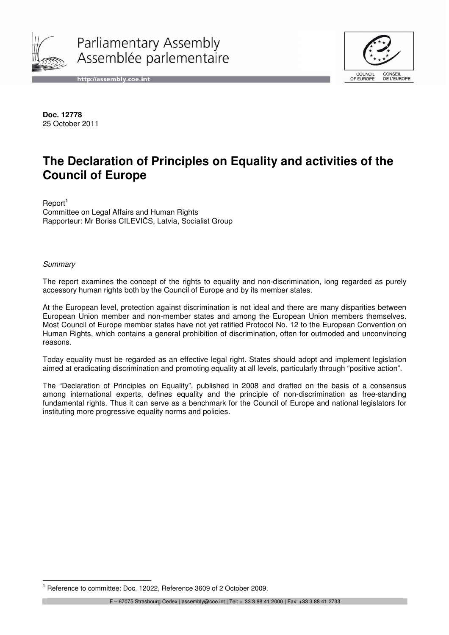

Parliamentary Assembly Assemblée parlementaire





**Doc. 12778**  25 October 2011

# **The Declaration of Principles on Equality and activities of the Council of Europe**

 $Report<sup>1</sup>$ Committee on Legal Affairs and Human Rights Rapporteur: Mr Boriss CILEVIČS, Latvia, Socialist Group

**Summary** 

 $\overline{\phantom{a}}$ 

The report examines the concept of the rights to equality and non-discrimination, long regarded as purely accessory human rights both by the Council of Europe and by its member states.

At the European level, protection against discrimination is not ideal and there are many disparities between European Union member and non-member states and among the European Union members themselves. Most Council of Europe member states have not yet ratified Protocol No. 12 to the European Convention on Human Rights, which contains a general prohibition of discrimination, often for outmoded and unconvincing reasons.

Today equality must be regarded as an effective legal right. States should adopt and implement legislation aimed at eradicating discrimination and promoting equality at all levels, particularly through "positive action".

The "Declaration of Principles on Equality", published in 2008 and drafted on the basis of a consensus among international experts, defines equality and the principle of non-discrimination as free-standing fundamental rights. Thus it can serve as a benchmark for the Council of Europe and national legislators for instituting more progressive equality norms and policies.

<sup>&</sup>lt;sup>1</sup> Reference to committee: Doc. 12022, Reference 3609 of 2 October 2009.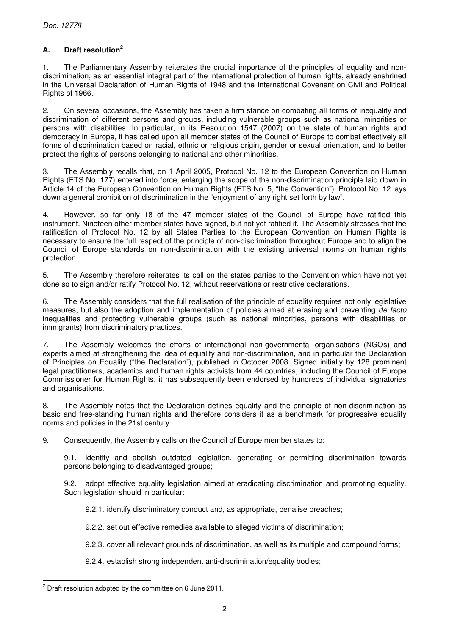# **A. Draft resolution**<sup>2</sup>

1. The Parliamentary Assembly reiterates the crucial importance of the principles of equality and nondiscrimination, as an essential integral part of the international protection of human rights, already enshrined in the Universal Declaration of Human Rights of 1948 and the International Covenant on Civil and Political Rights of 1966.

2. On several occasions, the Assembly has taken a firm stance on combating all forms of inequality and discrimination of different persons and groups, including vulnerable groups such as national minorities or persons with disabilities. In particular, in its Resolution 1547 (2007) on the state of human rights and democracy in Europe, it has called upon all member states of the Council of Europe to combat effectively all forms of discrimination based on racial, ethnic or religious origin, gender or sexual orientation, and to better protect the rights of persons belonging to national and other minorities.

3. The Assembly recalls that, on 1 April 2005, Protocol No. 12 to the European Convention on Human Rights (ETS No. 177) entered into force, enlarging the scope of the non-discrimination principle laid down in Article 14 of the European Convention on Human Rights (ETS No. 5, "the Convention"). Protocol No. 12 lays down a general prohibition of discrimination in the "enjoyment of any right set forth by law".

4. However, so far only 18 of the 47 member states of the Council of Europe have ratified this instrument. Nineteen other member states have signed, but not yet ratified it. The Assembly stresses that the ratification of Protocol No. 12 by all States Parties to the European Convention on Human Rights is necessary to ensure the full respect of the principle of non-discrimination throughout Europe and to align the Council of Europe standards on non-discrimination with the existing universal norms on human rights protection.

5. The Assembly therefore reiterates its call on the states parties to the Convention which have not yet done so to sign and/or ratify Protocol No. 12, without reservations or restrictive declarations.

6. The Assembly considers that the full realisation of the principle of equality requires not only legislative measures, but also the adoption and implementation of policies aimed at erasing and preventing de facto inequalities and protecting vulnerable groups (such as national minorities, persons with disabilities or immigrants) from discriminatory practices.

7. The Assembly welcomes the efforts of international non-governmental organisations (NGOs) and experts aimed at strengthening the idea of equality and non-discrimination, and in particular the Declaration of Principles on Equality ("the Declaration"), published in October 2008. Signed initially by 128 prominent legal practitioners, academics and human rights activists from 44 countries, including the Council of Europe Commissioner for Human Rights, it has subsequently been endorsed by hundreds of individual signatories and organisations.

8. The Assembly notes that the Declaration defines equality and the principle of non-discrimination as basic and free-standing human rights and therefore considers it as a benchmark for progressive equality norms and policies in the 21st century.

9. Consequently, the Assembly calls on the Council of Europe member states to:

 9.1. identify and abolish outdated legislation, generating or permitting discrimination towards persons belonging to disadvantaged groups;

 9.2. adopt effective equality legislation aimed at eradicating discrimination and promoting equality. Such legislation should in particular:

9.2.1. identify discriminatory conduct and, as appropriate, penalise breaches;

9.2.2. set out effective remedies available to alleged victims of discrimination;

9.2.3. cover all relevant grounds of discrimination, as well as its multiple and compound forms;

9.2.4. establish strong independent anti-discrimination/equality bodies;

j  $2$  Draft resolution adopted by the committee on 6 June 2011.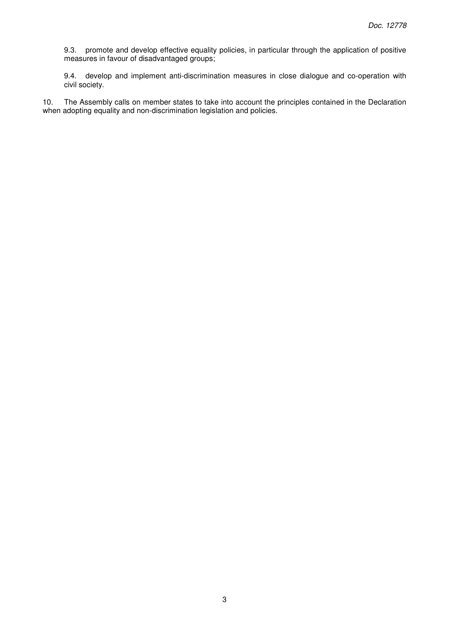9.3. promote and develop effective equality policies, in particular through the application of positive measures in favour of disadvantaged groups;

 9.4. develop and implement anti-discrimination measures in close dialogue and co-operation with civil society.

10. The Assembly calls on member states to take into account the principles contained in the Declaration when adopting equality and non-discrimination legislation and policies.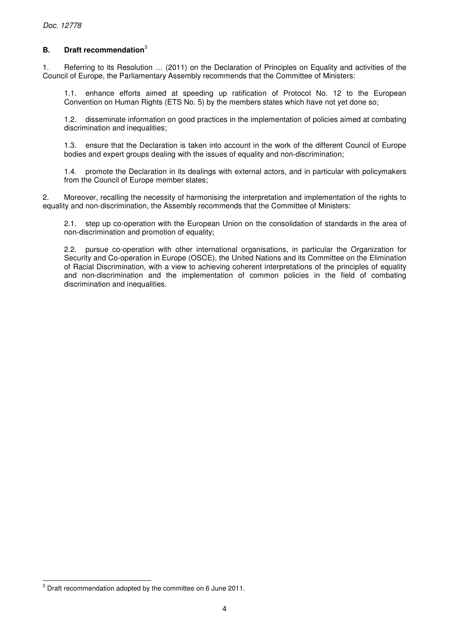# **B. Draft recommendation**<sup>3</sup>

1. Referring to its Resolution … (2011) on the Declaration of Principles on Equality and activities of the Council of Europe, the Parliamentary Assembly recommends that the Committee of Ministers:

 1.1. enhance efforts aimed at speeding up ratification of Protocol No. 12 to the European Convention on Human Rights (ETS No. 5) by the members states which have not yet done so;

 1.2. disseminate information on good practices in the implementation of policies aimed at combating discrimination and inequalities;

 1.3. ensure that the Declaration is taken into account in the work of the different Council of Europe bodies and expert groups dealing with the issues of equality and non-discrimination;

 1.4. promote the Declaration in its dealings with external actors, and in particular with policymakers from the Council of Europe member states;

2. Moreover, recalling the necessity of harmonising the interpretation and implementation of the rights to equality and non-discrimination, the Assembly recommends that the Committee of Ministers:

 2.1. step up co-operation with the European Union on the consolidation of standards in the area of non-discrimination and promotion of equality;

 2.2. pursue co-operation with other international organisations, in particular the Organization for Security and Co-operation in Europe (OSCE), the United Nations and its Committee on the Elimination of Racial Discrimination, with a view to achieving coherent interpretations of the principles of equality and non-discrimination and the implementation of common policies in the field of combating discrimination and inequalities.

 3 Draft recommendation adopted by the committee on 6 June 2011.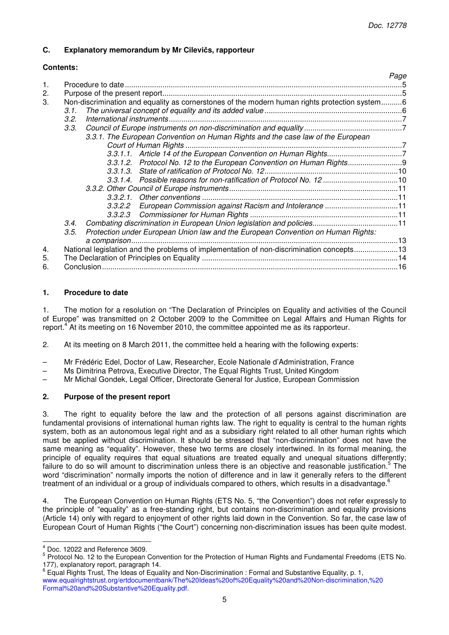## **C. Explanatory memorandum by Mr Cilevi**č**s, rapporteur**

## **Contents:**

| 1.               |                                                                                               |                                                                                          | Page |
|------------------|-----------------------------------------------------------------------------------------------|------------------------------------------------------------------------------------------|------|
| 2.               |                                                                                               |                                                                                          |      |
| 3.               | Non-discrimination and equality as cornerstones of the modern human rights protection system6 |                                                                                          |      |
|                  | 3.1.                                                                                          |                                                                                          |      |
|                  | 3.2.                                                                                          |                                                                                          |      |
|                  | 3.3.                                                                                          |                                                                                          |      |
|                  |                                                                                               | 3.3.1. The European Convention on Human Rights and the case law of the European          |      |
|                  |                                                                                               |                                                                                          |      |
|                  |                                                                                               |                                                                                          |      |
|                  |                                                                                               | 3.3.1.2. Protocol No. 12 to the European Convention on Human Rights                      |      |
|                  |                                                                                               |                                                                                          |      |
|                  |                                                                                               |                                                                                          |      |
|                  |                                                                                               |                                                                                          |      |
|                  |                                                                                               |                                                                                          |      |
|                  |                                                                                               | 3.3.2.2 European Commission against Racism and Intolerance 11                            |      |
|                  |                                                                                               |                                                                                          |      |
|                  | 3.4.                                                                                          |                                                                                          |      |
|                  | 3.5.                                                                                          | Protection under European Union law and the European Convention on Human Rights:         |      |
|                  |                                                                                               |                                                                                          |      |
| $\overline{4}$ . |                                                                                               | National legislation and the problems of implementation of non-discrimination concepts13 |      |
| 5.               |                                                                                               |                                                                                          |      |
| 6.               |                                                                                               |                                                                                          |      |
|                  |                                                                                               |                                                                                          |      |

## **1. Procedure to date**

1. The motion for a resolution on "The Declaration of Principles on Equality and activities of the Council of Europe" was transmitted on 2 October 2009 to the Committee on Legal Affairs and Human Rights for report.<sup>4</sup> At its meeting on 16 November 2010, the committee appointed me as its rapporteur.

2. At its meeting on 8 March 2011, the committee held a hearing with the following experts:

- Mr Frédéric Edel, Doctor of Law, Researcher, Ecole Nationale d'Administration, France
- Ms Dimitrina Petrova, Executive Director, The Equal Rights Trust, United Kingdom
- Mr Michal Gondek, Legal Officer, Directorate General for Justice, European Commission

# **2. Purpose of the present report**

3. The right to equality before the law and the protection of all persons against discrimination are fundamental provisions of international human rights law. The right to equality is central to the human rights system, both as an autonomous legal right and as a subsidiary right related to all other human rights which must be applied without discrimination. It should be stressed that "non-discrimination" does not have the same meaning as "equality". However, these two terms are closely intertwined. In its formal meaning, the principle of equality requires that equal situations are treated equally and unequal situations differently; failure to do so will amount to discrimination unless there is an objective and reasonable justification.<sup>5</sup> The word "discrimination" normally imports the notion of difference and in law it generally refers to the different treatment of an individual or a group of individuals compared to others, which results in a disadvantage.<sup>6</sup>

4. The European Convention on Human Rights (ETS No. 5, "the Convention") does not refer expressly to the principle of "equality" as a free-standing right, but contains non-discrimination and equality provisions (Article 14) only with regard to enjoyment of other rights laid down in the Convention. So far, the case law of European Court of Human Rights ("the Court") concerning non-discrimination issues has been quite modest.

 4 Doc. 12022 and Reference 3609.

<sup>&</sup>lt;sup>5</sup> Protocol No. 12 to the European Convention for the Protection of Human Rights and Fundamental Freedoms (ETS No. 177), explanatory report, paragraph 14.

 $^6$  Equal Rights Trust, The Ideas of Equality and Non-Discrimination : Formal and Substantive Equality, p. 1, www.equalrightstrust.org/ertdocumentbank/The%20Ideas%20of%20Equality%20and%20Non-discrimination,%20 Formal%20and%20Substantive%20Equality.pdf.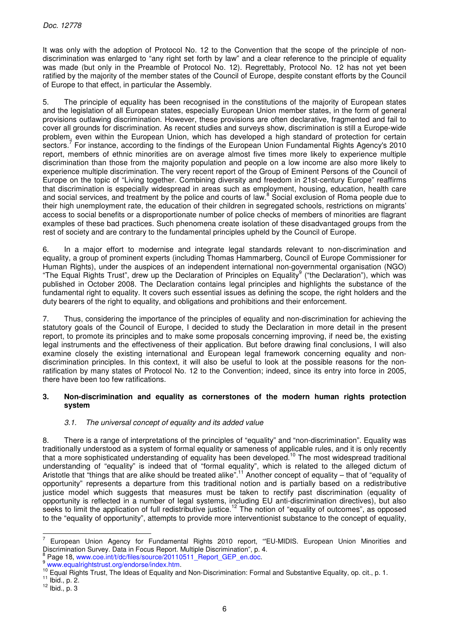It was only with the adoption of Protocol No. 12 to the Convention that the scope of the principle of nondiscrimination was enlarged to "any right set forth by law" and a clear reference to the principle of equality was made (but only in the Preamble of Protocol No. 12). Regrettably, Protocol No. 12 has not yet been ratified by the majority of the member states of the Council of Europe, despite constant efforts by the Council of Europe to that effect, in particular the Assembly.

5. The principle of equality has been recognised in the constitutions of the majority of European states and the legislation of all European states, especially European Union member states, in the form of general provisions outlawing discrimination. However, these provisions are often declarative, fragmented and fail to cover all grounds for discrimination. As recent studies and surveys show, discrimination is still a Europe-wide problem, even within the European Union, which has developed a high standard of protection for certain sectors.<sup>7</sup> For instance, according to the findings of the European Union Fundamental Rights Agency's 2010 report, members of ethnic minorities are on average almost five times more likely to experience multiple discrimination than those from the majority population and people on a low income are also more likely to experience multiple discrimination. The very recent report of the Group of Eminent Persons of the Council of Europe on the topic of "Living together. Combining diversity and freedom in 21st-century Europe" reaffirms that discrimination is especially widespread in areas such as employment, housing, education, health care and social services, and treatment by the police and courts of law.<sup>8</sup> Social exclusion of Roma people due to their high unemployment rate, the education of their children in segregated schools, restrictions on migrants' access to social benefits or a disproportionate number of police checks of members of minorities are flagrant examples of these bad practices. Such phenomena create isolation of these disadvantaged groups from the rest of society and are contrary to the fundamental principles upheld by the Council of Europe.

6. In a major effort to modernise and integrate legal standards relevant to non-discrimination and equality, a group of prominent experts (including Thomas Hammarberg, Council of Europe Commissioner for Human Rights), under the auspices of an independent international non-governmental organisation (NGO) "The Equal Rights Trust", drew up the Declaration of Principles on Equality<sup>9</sup> ("the Declaration"), which was published in October 2008. The Declaration contains legal principles and highlights the substance of the fundamental right to equality. It covers such essential issues as defining the scope, the right holders and the duty bearers of the right to equality, and obligations and prohibitions and their enforcement.

7. Thus, considering the importance of the principles of equality and non-discrimination for achieving the statutory goals of the Council of Europe, I decided to study the Declaration in more detail in the present report, to promote its principles and to make some proposals concerning improving, if need be, the existing legal instruments and the effectiveness of their application. But before drawing final conclusions, I will also examine closely the existing international and European legal framework concerning equality and nondiscrimination principles. In this context, it will also be useful to look at the possible reasons for the nonratification by many states of Protocol No. 12 to the Convention; indeed, since its entry into force in 2005, there have been too few ratifications.

## **3. Non-discrimination and equality as cornerstones of the modern human rights protection system**

# 3.1. The universal concept of equality and its added value

8. There is a range of interpretations of the principles of "equality" and "non-discrimination". Equality was traditionally understood as a system of formal equality or sameness of applicable rules, and it is only recently that a more sophisticated understanding of equality has been developed.<sup>10</sup> The most widespread traditional understanding of "equality" is indeed that of "formal equality", which is related to the alleged dictum of Aristotle that "things that are alike should be treated alike".<sup>11</sup> Another concept of equality – that of "equality of opportunity" represents a departure from this traditional notion and is partially based on a redistributive justice model which suggests that measures must be taken to rectify past discrimination (equality of opportunity is reflected in a number of legal systems, including EU anti-discrimination directives), but also seeks to limit the application of full redistributive justice.<sup>12</sup> The notion of "equality of outcomes", as opposed to the "equality of opportunity", attempts to provide more interventionist substance to the concept of equality,

<sup>-&</sup>lt;br>7 European Union Agency for Fundamental Rights 2010 report, "'EU-MIDIS. European Union Minorities and Discrimination Survey. Data in Focus Report. Multiple Discrimination", p. 4.

<sup>8</sup> Page 18, www.coe.int/t/dc/files/source/20110511\_Report\_GEP\_en.doc.

<sup>9</sup> www.equalrightstrust.org/endorse/index.htm.

<sup>&</sup>lt;sup>10</sup> Equal Rights Trust, The Ideas of Equality and Non-Discrimination: Formal and Substantive Equality, op. cit., p. 1.

 $11$  Ibid., p. 2.

 $12$  Ibid., p. 3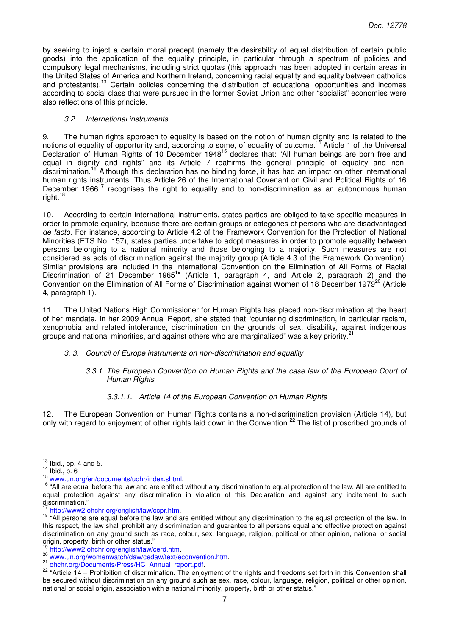by seeking to inject a certain moral precept (namely the desirability of equal distribution of certain public goods) into the application of the equality principle, in particular through a spectrum of policies and compulsory legal mechanisms, including strict quotas (this approach has been adopted in certain areas in the United States of America and Northern Ireland, concerning racial equality and equality between catholics and protestants).<sup>13</sup> Certain policies concerning the distribution of educational opportunities and incomes according to social class that were pursued in the former Soviet Union and other "socialist" economies were also reflections of this principle.

#### 3.2. International instruments

9. The human rights approach to equality is based on the notion of human dignity and is related to the notions of equality of opportunity and, according to some, of equality of outcome.<sup>14</sup> Article 1 of the Universal Declaration of Human Rights of 10 December 1948<sup>15</sup> declares that: "All human beings are born free and equal in dignity and rights" and its Article 7 reaffirms the general principle of equality and nondiscrimination.<sup>16</sup> Although this declaration has no binding force, it has had an impact on other international human rights instruments. Thus Article 26 of the International Covenant on Civil and Political Rights of 16 December 1966<sup>17</sup> recognises the right to equality and to non-discrimination as an autonomous human right.<sup>18</sup>

10. According to certain international instruments, states parties are obliged to take specific measures in order to promote equality, because there are certain groups or categories of persons who are disadvantaged de facto. For instance, according to Article 4.2 of the Framework Convention for the Protection of National Minorities (ETS No. 157), states parties undertake to adopt measures in order to promote equality between persons belonging to a national minority and those belonging to a majority. Such measures are not considered as acts of discrimination against the majority group (Article 4.3 of the Framework Convention). Similar provisions are included in the International Convention on the Elimination of All Forms of Racial Discrimination of 21 December 1965<sup>19</sup> (Article 1, paragraph 4, and Article 2, paragraph 2) and the Convention on the Elimination of All Forms of Discrimination against Women of 18 December 1979<sup>20</sup> (Article 4, paragraph 1).

11. The United Nations High Commissioner for Human Rights has placed non-discrimination at the heart of her mandate. In her 2009 Annual Report, she stated that "countering discrimination, in particular racism, xenophobia and related intolerance, discrimination on the grounds of sex, disability, against indigenous groups and national minorities, and against others who are marginalized" was a key priority.<sup>2</sup>

#### 3. 3. Council of Europe instruments on non-discrimination and equality

#### 3.3.1. The European Convention on Human Rights and the case law of the European Court of Human Rights

#### 3.3.1.1. Article 14 of the European Convention on Human Rights

12. The European Convention on Human Rights contains a non-discrimination provision (Article 14), but only with regard to enjoyment of other rights laid down in the Convention.<sup>22</sup> The list of proscribed grounds of

  $13$  Ibid., pp. 4 and 5.

<sup>14</sup> Ibid., p. 6

<sup>15</sup> www.un.org/en/documents/udhr/index.shtml.

<sup>&</sup>lt;sup>16</sup> "All are equal before the law and are entitled without any discrimination to equal protection of the law. All are entitled to equal protection against any discrimination in violation of this Declaration and against any incitement to such discrimination."

<sup>17</sup> http://www2.ohchr.org/english/law/ccpr.htm.

<sup>&</sup>lt;sup>18</sup> "All persons are equal before the law and are entitled without any discrimination to the equal protection of the law. In this respect, the law shall prohibit any discrimination and guarantee to all persons equal and effective protection against discrimination on any ground such as race, colour, sex, language, religion, political or other opinion, national or social origin, property, birth or other status."

<sup>19</sup> http://www2.ohchr.org/english/law/cerd.htm.

<sup>20</sup> www.un.org/womenwatch/daw/cedaw/text/econvention.htm.

<sup>21</sup> ohchr.org/Documents/Press/HC\_Annual\_report.pdf.

 $22$  "Article 14 – Prohibition of discrimination. The enjoyment of the rights and freedoms set forth in this Convention shall be secured without discrimination on any ground such as sex, race, colour, language, religion, political or other opinion, national or social origin, association with a national minority, property, birth or other status."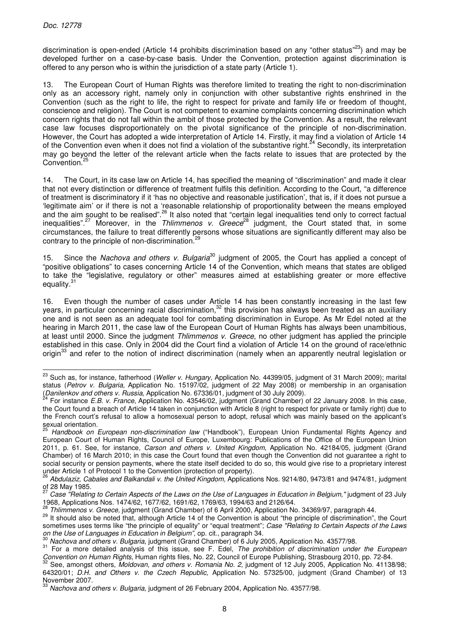j

discrimination is open-ended (Article 14 prohibits discrimination based on any "other status"<sup>23</sup>) and may be developed further on a case-by-case basis. Under the Convention, protection against discrimination is offered to any person who is within the jurisdiction of a state party (Article 1).

13. The European Court of Human Rights was therefore limited to treating the right to non-discrimination only as an accessory right, namely only in conjunction with other substantive rights enshrined in the Convention (such as the right to life, the right to respect for private and family life or freedom of thought, conscience and religion). The Court is not competent to examine complaints concerning discrimination which concern rights that do not fall within the ambit of those protected by the Convention. As a result, the relevant case law focuses disproportionately on the pivotal significance of the principle of non-discrimination. However, the Court has adopted a wide interpretation of Article 14. Firstly, it may find a violation of Article 14 of the Convention even when it does not find a violation of the substantive right.<sup>24</sup> Secondly, its interpretation may go beyond the letter of the relevant article when the facts relate to issues that are protected by the Convention.<sup>25</sup>

14. The Court, in its case law on Article 14, has specified the meaning of "discrimination" and made it clear that not every distinction or difference of treatment fulfils this definition. According to the Court, "a difference of treatment is discriminatory if it 'has no objective and reasonable justification', that is, if it does not pursue a 'legitimate aim' or if there is not a 'reasonable relationship of proportionality between the means employed and the aim sought to be realised".<sup>26</sup> It also noted that "certain legal inequalities tend only to correct factual inequalities".<sup>27</sup> Moreover, in the Thlimmenos v. Greece<sup>28</sup> judgment, the Court stated that, in some circumstances, the failure to treat differently persons whose situations are significantly different may also be contrary to the principle of non-discrimination.<sup>29</sup>

15. Since the Nachova and others v. Bulgaria<sup>30</sup> judgment of 2005, the Court has applied a concept of "positive obligations" to cases concerning Article 14 of the Convention, which means that states are obliged to take the "legislative, regulatory or other" measures aimed at establishing greater or more effective equality. $31$ 

16. Even though the number of cases under Article 14 has been constantly increasing in the last few years, in particular concerning racial discrimination,<sup>32</sup> this provision has always been treated as an auxiliary one and is not seen as an adequate tool for combating discrimination in Europe. As Mr Edel noted at the hearing in March 2011, the case law of the European Court of Human Rights has always been unambitious, at least until 2000. Since the judgment Thlimmenos v. Greece, no other judgment has applied the principle established in this case. Only in 2004 did the Court find a violation of Article 14 on the ground of race/ethnic origin<sup>33</sup> and refer to the notion of indirect discrimination (namely when an apparently neutral legislation or

<sup>&</sup>lt;sup>23</sup> Such as, for instance, fatherhood (Weller v. Hungary, Application No. 44399/05, judgment of 31 March 2009); marital status (Petrov v. Bulgaria, Application No. 15197/02, judgment of 22 May 2008) or membership in an organisation (Danilenkov and others v. Russia, Application No. 67336/01, judgment of 30 July 2009).

<sup>24</sup> For instance E.B. v. France, Application No. 43546/02, judgment (Grand Chamber) of 22 January 2008. In this case, the Court found a breach of Article 14 taken in conjunction with Article 8 (right to respect for private or family right) due to the French court's refusal to allow a homosexual person to adopt, refusal which was mainly based on the applicant's sexual orientation.

Handbook on European non-discrimination law ("Handbook"), European Union Fundamental Rights Agency and European Court of Human Rights, Council of Europe, Luxembourg: Publications of the Office of the European Union 2011, p. 61. See, for instance, Carson and others v. United Kingdom, Application No. 42184/05, judgment (Grand Chamber) of 16 March 2010; in this case the Court found that even though the Convention did not guarantee a right to social security or pension payments, where the state itself decided to do so, this would give rise to a proprietary interest under Article 1 of Protocol 1 to the Convention (protection of property).

Abdulaziz, Cabales and Balkandali v. the United Kingdom, Applications Nos. 9214/80, 9473/81 and 9474/81, judgment of 28 May 1985.

Case "Relating to Certain Aspects of the Laws on the Use of Languages in Education in Belgium," judgment of 23 July 1968, Applications Nos. 1474/62, 1677/62, 1691/62, 1769/63, 1994/63 and 2126/64.

<sup>28</sup> Thlimmenos v. Greece, judgment (Grand Chamber) of 6 April 2000, Application No. 34369/97, paragraph 44.

<sup>&</sup>lt;sup>29</sup> It should also be noted that, although Article 14 of the Convention is about "the principle of discrimination", the Court sometimes uses terms like "the principle of equality" or "equal treatment"; Case "Relating to Certain Aspects of the Laws on the Use of Languages in Education in Belgium", op. cit., paragraph 34.

Nachova and others v. Bulgaria, judgment (Grand Chamber) of 6 July 2005, Application No. 43577/98.

<sup>&</sup>lt;sup>31</sup> For a more detailed analysis of this issue, see F. Edel, The prohibition of discrimination under the European Convention on Human Rights, Human rights files, No. 22, Council of Europe Publishing, Strasbourg 2010, pp. 72-84.

See, amongst others, Moldovan, and others v. Romania No. 2, judgment of 12 July 2005, Application No. 41138/98; 64320/01; D.H. and Others v. the Czech Republic, Application No. 57325/00, judgment (Grand Chamber) of 13 November 2007.

<sup>33</sup> Nachova and others v. Bulgaria, judgment of 26 February 2004, Application No. 43577/98.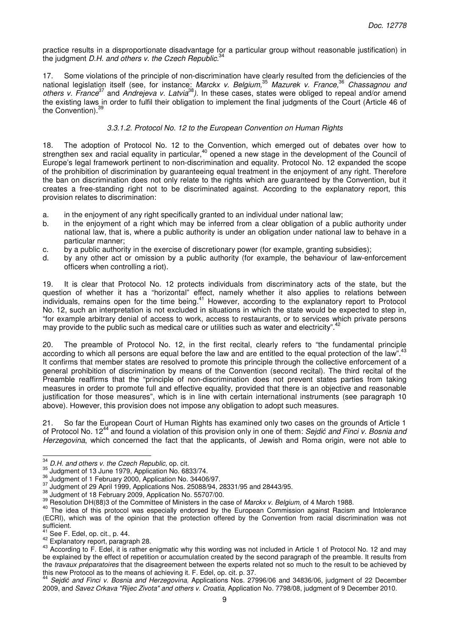practice results in a disproportionate disadvantage for a particular group without reasonable justification) in the judgment  $D.H.$  and others v. the Czech Republic.<sup>3</sup>

17. Some violations of the principle of non-discrimination have clearly resulted from the deficiencies of the national legislation itself (see, for instance: Marckx v. Belgium,<sup>35</sup> Mazurek v. France,<sup>36</sup> Chassagnou and others v. France<sup>37</sup> and Andrejeva v. Latvia<sup>38</sup>). In these cases, states were obliged to repeal and/or amend the existing laws in order to fulfil their obligation to implement the final judgments of the Court (Article 46 of the Convention).<sup>39</sup>

## 3.3.1.2. Protocol No. 12 to the European Convention on Human Rights

18. The adoption of Protocol No. 12 to the Convention, which emerged out of debates over how to strengthen sex and racial equality in particular,<sup>40</sup> opened a new stage in the development of the Council of Europe's legal framework pertinent to non-discrimination and equality. Protocol No. 12 expanded the scope of the prohibition of discrimination by guaranteeing equal treatment in the enjoyment of any right. Therefore the ban on discrimination does not only relate to the rights which are guaranteed by the Convention, but it creates a free-standing right not to be discriminated against. According to the explanatory report, this provision relates to discrimination:

- a. in the enjoyment of any right specifically granted to an individual under national law;
- b. in the enjoyment of a right which may be inferred from a clear obligation of a public authority under national law, that is, where a public authority is under an obligation under national law to behave in a particular manner;
- c. by a public authority in the exercise of discretionary power (for example, granting subsidies);
- d. by any other act or omission by a public authority (for example, the behaviour of law-enforcement officers when controlling a riot).

19. It is clear that Protocol No. 12 protects individuals from discriminatory acts of the state, but the question of whether it has a "horizontal" effect, namely whether it also applies to relations between individuals, remains open for the time being.<sup>41</sup> However, according to the explanatory report to Protocol No. 12, such an interpretation is not excluded in situations in which the state would be expected to step in, "for example arbitrary denial of access to work, access to restaurants, or to services which private persons may provide to the public such as medical care or utilities such as water and electricity".<sup>42</sup>

20. The preamble of Protocol No. 12, in the first recital, clearly refers to "the fundamental principle according to which all persons are equal before the law and are entitled to the equal protection of the law". It confirms that member states are resolved to promote this principle through the collective enforcement of a general prohibition of discrimination by means of the Convention (second recital). The third recital of the Preamble reaffirms that the "principle of non-discrimination does not prevent states parties from taking measures in order to promote full and effective equality, provided that there is an objective and reasonable justification for those measures", which is in line with certain international instruments (see paragraph 10 above). However, this provision does not impose any obligation to adopt such measures.

21. So far the European Court of Human Rights has examined only two cases on the grounds of Article 1 of Protocol No. 12<sup>44</sup> and found a violation of this provision only in one of them: Sejdić and Finci v. Bosnia and Herzegovina, which concerned the fact that the applicants, of Jewish and Roma origin, were not able to

 $\overline{\phantom{a}}$  $34$  D.H. and others v. the Czech Republic, op. cit.

 $\frac{35}{211}$  and others v. the Ozech republic, op. cm.

 $36$  Judgment of 1 February 2000, Application No. 34406/97.

<sup>37</sup> Judgment of 29 April 1999, Applications Nos. 25088/94, 28331/95 and 28443/95.

<sup>38</sup> Judgment of 18 February 2009, Application No. 55707/00.

<sup>&</sup>lt;sup>39</sup> Resolution DH(88)3 of the Committee of Ministers in the case of *Marckx v. Belgium*, of 4 March 1988.

<sup>40</sup> The idea of this protocol was especially endorsed by the European Commission against Racism and Intolerance (ECRI), which was of the opinion that the protection offered by the Convention from racial discrimination was not sufficient.

See F. Edel, op. cit., p. 44.

<sup>42</sup> Explanatory report, paragraph 28.

<sup>43</sup> According to F. Edel, it is rather enigmatic why this wording was not included in Article 1 of Protocol No. 12 and may be explained by the effect of repetition or accumulation created by the second paragraph of the preamble. It results from the travaux préparatoires that the disagreement between the experts related not so much to the result to be achieved by this new Protocol as to the means of achieving it. F. Edel, op. cit. p. 37.

<sup>44</sup> Sejdić and Finci v. Bosnia and Herzegovina, Applications Nos. 27996/06 and 34836/06, judgment of 22 December 2009, and Savez Crkava "Rijec Zivota" and others v. Croatia, Application No. 7798/08, judgment of 9 December 2010.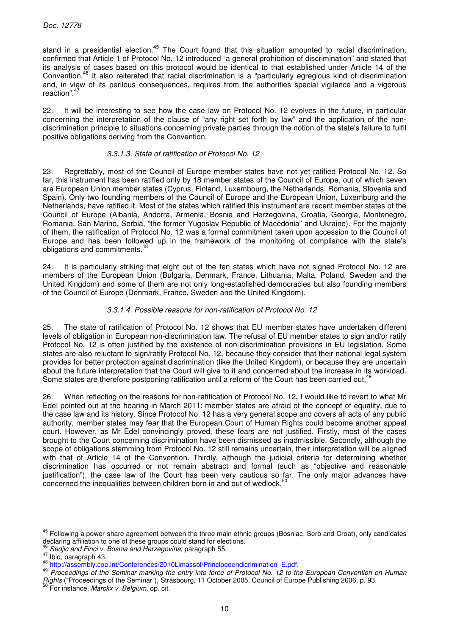stand in a presidential election.<sup>45</sup> The Court found that this situation amounted to racial discrimination, confirmed that Article 1 of Protocol No. 12 introduced "a general prohibition of discrimination" and stated that its analysis of cases based on this protocol would be identical to that established under Article 14 of the Convention.<sup>46</sup> It also reiterated that racial discrimination is a "particularly egregious kind of discrimination and, in view of its perilous consequences, requires from the authorities special vigilance and a vigorous reaction".<sup>47</sup>

22. It will be interesting to see how the case law on Protocol No. 12 evolves in the future, in particular concerning the interpretation of the clause of "any right set forth by law" and the application of the nondiscrimination principle to situations concerning private parties through the notion of the state's failure to fulfil positive obligations deriving from the Convention.

## 3.3.1.3. State of ratification of Protocol No. 12

23. Regrettably, most of the Council of Europe member states have not yet ratified Protocol No. 12. So far, this instrument has been ratified only by 18 member states of the Council of Europe, out of which seven are European Union member states (Cyprus, Finland, Luxembourg, the Netherlands, Romania, Slovenia and Spain). Only two founding members of the Council of Europe and the European Union, Luxemburg and the Netherlands, have ratified it. Most of the states which ratified this instrument are recent member states of the Council of Europe (Albania, Andorra, Armenia, Bosnia and Herzegovina, Croatia, Georgia, Montenegro, Romania, San Marino, Serbia, "the former Yugoslav Republic of Macedonia" and Ukraine). For the majority of them, the ratification of Protocol No. 12 was a formal commitment taken upon accession to the Council of Europe and has been followed up in the framework of the monitoring of compliance with the state's obligations and commitments.<sup>48</sup>

24. It is particularly striking that eight out of the ten states which have not signed Protocol No. 12 are members of the European Union (Bulgaria, Denmark, France, Lithuania, Malta, Poland, Sweden and the United Kingdom) and some of them are not only long-established democracies but also founding members of the Council of Europe (Denmark, France, Sweden and the United Kingdom).

## 3.3.1.4. Possible reasons for non-ratification of Protocol No. 12

25. The state of ratification of Protocol No. 12 shows that EU member states have undertaken different levels of obligation in European non-discrimination law. The refusal of EU member states to sign and/or ratify Protocol No. 12 is often justified by the existence of non-discrimination provisions in EU legislation. Some states are also reluctant to sign/ratify Protocol No. 12, because they consider that their national legal system provides for better protection against discrimination (like the United Kingdom), or because they are uncertain about the future interpretation that the Court will give to it and concerned about the increase in its workload. Some states are therefore postponing ratification until a reform of the Court has been carried out.<sup>4</sup>

26. When reflecting on the reasons for non-ratification of Protocol No. 12**,** I would like to revert to what Mr Edel pointed out at the hearing in March 2011: member states are afraid of the concept of equality, due to the case law and its history. Since Protocol No. 12 has a very general scope and covers all acts of any public authority, member states may fear that the European Court of Human Rights could become another appeal court. However, as Mr Edel convincingly proved, these fears are not justified. Firstly, most of the cases brought to the Court concerning discrimination have been dismissed as inadmissible. Secondly, although the scope of obligations stemming from Protocol No. 12 still remains uncertain, their interpretation will be aligned with that of Article 14 of the Convention. Thirdly, although the judicial criteria for determining whether discrimination has occurred or not remain abstract and formal (such as "objective and reasonable justification"), the case law of the Court has been very cautious so far. The only major advances have concerned the inequalities between children born in and out of wedlock.<sup>5</sup>

<sup>&</sup>lt;sup>45</sup> Following a power-share agreement between the three main ethnic groups (Bosniac, Serb and Croat), only candidates declaring affiliation to one of these groups could stand for elections.

Sedjic and Finci v. Bosnia and Herzegovina, paragraph 55.

<sup>47</sup> Ibid, paragraph 43.

<sup>48</sup> http://assembly.coe.int/Conferences/2010Limassol/Principedendicrimination\_E.pdf.

<sup>&</sup>lt;sup>49</sup> Proceedings of the Seminar marking the entry into force of Protocol No. 12 to the European Convention on Human Rights ("Proceedings of the Seminar"), Strasbourg, 11 October 2005, Council of Europe Publishing 2006, p. 93.

<sup>&</sup>lt;sup>50</sup> For instance, Marckx v. Belgium, op. cit.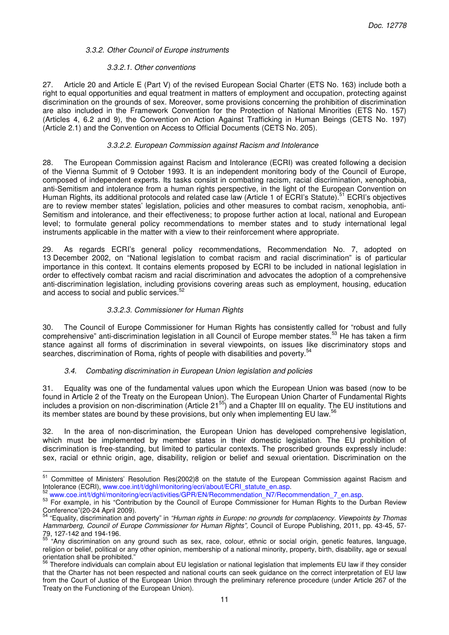## 3.3.2. Other Council of Europe instruments

#### 3.3.2.1. Other conventions

27. Article 20 and Article E (Part V) of the revised European Social Charter (ETS No. 163) include both a right to equal opportunities and equal treatment in matters of employment and occupation, protecting against discrimination on the grounds of sex. Moreover, some provisions concerning the prohibition of discrimination are also included in the Framework Convention for the Protection of National Minorities (ETS No. 157) (Articles 4, 6.2 and 9), the Convention on Action Against Trafficking in Human Beings (CETS No. 197) (Article 2.1) and the Convention on Access to Official Documents (CETS No. 205).

#### 3.3.2.2. European Commission against Racism and Intolerance

28. The European Commission against Racism and Intolerance (ECRI) was created following a decision of the Vienna Summit of 9 October 1993. It is an independent monitoring body of the Council of Europe, composed of independent experts. Its tasks consist in combating racism, racial discrimination, xenophobia, anti-Semitism and intolerance from a human rights perspective, in the light of the European Convention on Human Rights, its additional protocols and related case law (Article 1 of ECRI's Statute).<sup>51</sup> ECRI's objectives are to review member states' legislation, policies and other measures to combat racism, xenophobia, anti-Semitism and intolerance, and their effectiveness; to propose further action at local, national and European level; to formulate general policy recommendations to member states and to study international legal instruments applicable in the matter with a view to their reinforcement where appropriate.

29. As regards ECRI's general policy recommendations, Recommendation No. 7, adopted on 13 December 2002, on "National legislation to combat racism and racial discrimination" is of particular importance in this context. It contains elements proposed by ECRI to be included in national legislation in order to effectively combat racism and racial discrimination and advocates the adoption of a comprehensive anti-discrimination legislation, including provisions covering areas such as employment, housing, education and access to social and public services.

## 3.3.2.3. Commissioner for Human Rights

30. The Council of Europe Commissioner for Human Rights has consistently called for "robust and fully comprehensive" anti-discrimination legislation in all Council of Europe member states.<sup>53</sup> He has taken a firm stance against all forms of discrimination in several viewpoints, on issues like discriminatory stops and searches, discrimination of Roma, rights of people with disabilities and poverty.<sup>5</sup>

#### 3.4. Combating discrimination in European Union legislation and policies

31. Equality was one of the fundamental values upon which the European Union was based (now to be found in Article 2 of the Treaty on the European Union). The European Union Charter of Fundamental Rights includes a provision on non-discrimination (Article 21<sup>55</sup>) and a Chapter III on equality. The EU institutions and its member states are bound by these provisions, but only when implementing EU law.<sup>56</sup>

32. In the area of non-discrimination, the European Union has developed comprehensive legislation, which must be implemented by member states in their domestic legislation. The EU prohibition of discrimination is free-standing, but limited to particular contexts. The proscribed grounds expressly include: sex, racial or ethnic origin, age, disability, religion or belief and sexual orientation. Discrimination on the

 $\overline{a}$ <sup>51</sup> Committee of Ministers' Resolution Res(2002)8 on the statute of the European Commission against Racism and Intolerance (ECRI), www.coe.int/t/dghl/monitoring/ecri/about/ECRI\_statute\_en.asp.

<sup>52</sup> www.coe.int/t/dghl/monitoring/ecri/activities/GPR/EN/Recommendation\_N7/Recommendation\_7\_en.asp.

<sup>53</sup> For example, in his "Contribution by the Council of Europe Commissioner for Human Rights to the Durban Review Conference"(20-24 April 2009).

<sup>&</sup>quot;Equality, discrimination and poverty" in "Human rights in Europe: no grounds for complacency. Viewpoints by Thomas Hammarberg, Council of Europe Commissioner for Human Rights", Council of Europe Publishing, 2011, pp. 43-45, 57- 79, 127-142 and 194-196.

<sup>&</sup>lt;sup>55 "</sup>Any discrimination on any ground such as sex, race, colour, ethnic or social origin, genetic features, language, religion or belief, political or any other opinion, membership of a national minority, property, birth, disability, age or sexual orientation shall be prohibited."

<sup>&</sup>lt;sup>56</sup> Therefore individuals can complain about EU legislation or national legislation that implements EU law if they consider that the Charter has not been respected and national courts can seek guidance on the correct interpretation of EU law from the Court of Justice of the European Union through the preliminary reference procedure (under Article 267 of the Treaty on the Functioning of the European Union).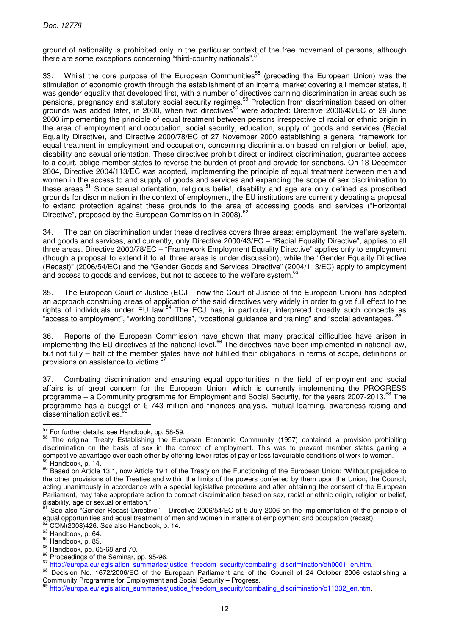ground of nationality is prohibited only in the particular context of the free movement of persons, although there are some exceptions concerning "third-country nationals".<sup>57</sup>

33. Whilst the core purpose of the European Communities<sup>58</sup> (preceding the European Union) was the stimulation of economic growth through the establishment of an internal market covering all member states, it was gender equality that developed first, with a number of directives banning discrimination in areas such as pensions, pregnancy and statutory social security regimes.<sup>59</sup> Protection from discrimination based on other grounds was added later, in 2000, when two directives<sup>60</sup> were adopted: Directive 2000/43/EC of 29 June 2000 implementing the principle of equal treatment between persons irrespective of racial or ethnic origin in the area of employment and occupation, social security, education, supply of goods and services (Racial Equality Directive), and Directive 2000/78/EC of 27 November 2000 establishing a general framework for equal treatment in employment and occupation, concerning discrimination based on religion or belief, age, disability and sexual orientation. These directives prohibit direct or indirect discrimination, guarantee access to a court, oblige member states to reverse the burden of proof and provide for sanctions. On 13 December 2004, Directive 2004/113/EC was adopted, implementing the principle of equal treatment between men and women in the access to and supply of goods and services and expanding the scope of sex discrimination to these areas.<sup>61</sup> Since sexual orientation, religious belief, disability and age are only defined as proscribed grounds for discrimination in the context of employment, the EU institutions are currently debating a proposal to extend protection against these grounds to the area of accessing goods and services ("Horizontal Directive", proposed by the European Commission in 2008).<sup>62</sup>

34. The ban on discrimination under these directives covers three areas: employment, the welfare system, and goods and services, and currently, only Directive 2000/43/EC – "Racial Equality Directive", applies to all three areas. Directive 2000/78/EC – "Framework Employment Equality Directive" applies only to employment (though a proposal to extend it to all three areas is under discussion), while the "Gender Equality Directive (Recast)" (2006/54/EC) and the "Gender Goods and Services Directive" (2004/113/EC) apply to employment and access to goods and services, but not to access to the welfare system.<sup>63</sup>

35. The European Court of Justice (ECJ – now the Court of Justice of the European Union) has adopted an approach construing areas of application of the said directives very widely in order to give full effect to the rights of individuals under EU law.<sup>64</sup> The ECJ has, in particular, interpreted broadly such concepts as "access to employment", "working conditions", "vocational guidance and training" and "social advantages."<sup>65</sup>

36. Reports of the European Commission have shown that many practical difficulties have arisen in implementing the EU directives at the national level.<sup>66</sup> The directives have been implemented in national law, but not fully – half of the member states have not fulfilled their obligations in terms of scope, definitions or provisions on assistance to victims.

37. Combating discrimination and ensuring equal opportunities in the field of employment and social affairs is of great concern for the European Union, which is currently implementing the PROGRESS programme – a Community programme for Employment and Social Security, for the years 2007-2013.<sup>68</sup> The programme has a budget of € 743 million and finances analysis, mutual learning, awareness-raising and dissemination activities.

 $\frac{57}{10}$  For further details, see Handbook, pp. 58-59.

<sup>58</sup> The original Treaty Establishing the European Economic Community (1957) contained a provision prohibiting discrimination on the basis of sex in the context of employment. This was to prevent member states gaining a competitive advantage over each other by offering lower rates of pay or less favourable conditions of work to women. Handbook, p. 14.

<sup>60</sup> Based on Article 13.1, now Article 19.1 of the Treaty on the Functioning of the European Union: "Without prejudice to the other provisions of the Treaties and within the limits of the powers conferred by them upon the Union, the Council, acting unanimously in accordance with a special legislative procedure and after obtaining the consent of the European Parliament, may take appropriate action to combat discrimination based on sex, racial or ethnic origin, religion or belief, disability, age or sexual orientation."

<sup>61</sup> See also "Gender Recast Directive" – Directive 2006/54/EC of 5 July 2006 on the implementation of the principle of equal opportunities and equal treatment of men and women in matters of employment and occupation (recast).

<sup>62</sup> COM(2008)426. See also Handbook, p. 14.

<sup>63</sup> Handbook, p. 64.

<sup>64</sup> Handbook, p. 85.

<sup>65</sup> Handbook, pp. 65-68 and 70.

<sup>&</sup>lt;sup>66</sup> Proceedings of the Seminar, pp. 95-96.

<sup>67</sup> http://europa.eu/legislation\_summaries/justice\_freedom\_security/combating\_discrimination/dh0001\_en.htm.

<sup>&</sup>lt;sup>68</sup> Decision No. 1672/2006/EC of the European Parliament and of the Council of 24 October 2006 establishing a Community Programme for Employment and Social Security – Progress.

http://europa.eu/legislation\_summaries/justice\_freedom\_security/combating\_discrimination/c11332\_en.htm.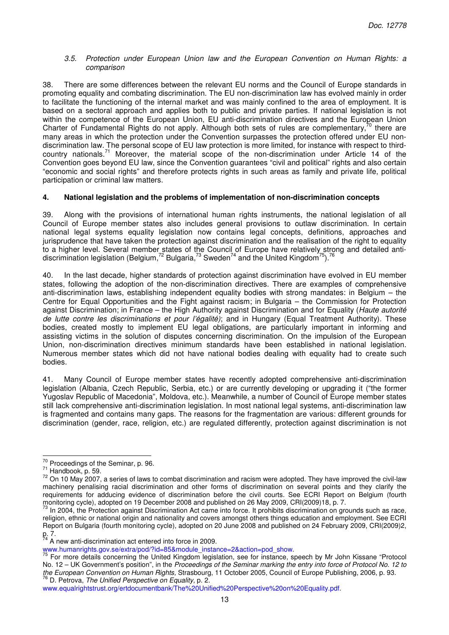#### 3.5. Protection under European Union law and the European Convention on Human Rights: a comparison

38. There are some differences between the relevant EU norms and the Council of Europe standards in promoting equality and combating discrimination. The EU non-discrimination law has evolved mainly in order to facilitate the functioning of the internal market and was mainly confined to the area of employment. It is based on a sectoral approach and applies both to public and private parties. If national legislation is not within the competence of the European Union, EU anti-discrimination directives and the European Union Charter of Fundamental Rights do not apply. Although both sets of rules are complementary,<sup>70</sup> there are many areas in which the protection under the Convention surpasses the protection offered under EU nondiscrimination law. The personal scope of EU law protection is more limited, for instance with respect to thirdcountry nationals.<sup>71</sup> Moreover, the material scope of the non-discrimination under Article 14 of the Convention goes beyond EU law, since the Convention guarantees "civil and political" rights and also certain "economic and social rights" and therefore protects rights in such areas as family and private life, political participation or criminal law matters.

## **4. National legislation and the problems of implementation of non-discrimination concepts**

39. Along with the provisions of international human rights instruments, the national legislation of all Council of Europe member states also includes general provisions to outlaw discrimination. In certain national legal systems equality legislation now contains legal concepts, definitions, approaches and jurisprudence that have taken the protection against discrimination and the realisation of the right to equality to a higher level. Several member states of the Council of Europe have relatively strong and detailed antidiscrimination legislation (Belgium,<sup>72</sup> Bulgaria,<sup>73</sup> Sweden<sup>74</sup> and the United Kingdom<sup>75</sup>). <sup>76</sup>

40. In the last decade, higher standards of protection against discrimination have evolved in EU member states, following the adoption of the non-discrimination directives. There are examples of comprehensive anti-discrimination laws, establishing independent equality bodies with strong mandates: in Belgium – the Centre for Equal Opportunities and the Fight against racism; in Bulgaria – the Commission for Protection against Discrimination; in France – the High Authority against Discrimination and for Equality (Haute autorité de lutte contre les discriminations et pour l'égalité); and in Hungary (Equal Treatment Authority). These bodies, created mostly to implement EU legal obligations, are particularly important in informing and assisting victims in the solution of disputes concerning discrimination. On the impulsion of the European Union, non-discrimination directives minimum standards have been established in national legislation. Numerous member states which did not have national bodies dealing with equality had to create such bodies.

41. Many Council of Europe member states have recently adopted comprehensive anti-discrimination legislation (Albania, Czech Republic, Serbia, etc.) or are currently developing or upgrading it ("the former Yugoslav Republic of Macedonia", Moldova, etc.). Meanwhile, a number of Council of Europe member states still lack comprehensive anti-discrimination legislation. In most national legal systems, anti-discrimination law is fragmented and contains many gaps. The reasons for the fragmentation are various: different grounds for discrimination (gender, race, religion, etc.) are regulated differently, protection against discrimination is not

 $\frac{70}{10}$  Proceedings of the Seminar, p. 96.

<sup>&</sup>lt;sup>71</sup> Handbook, p. 59.

 $72$  On 10 Mav 2007, a series of laws to combat discrimination and racism were adopted. They have improved the civil-law machinery penalising racial discrimination and other forms of discrimination on several points and they clarify the requirements for adducing evidence of discrimination before the civil courts. See ECRI Report on Belgium (fourth monitoring cycle), adopted on 19 December 2008 and published on 26 May 2009, CRI(2009)18, p. 7.

 $73$  In 2004, the Protection against Discrimination Act came into force. It prohibits discrimination on grounds such as race, religion, ethnic or national origin and nationality and covers amongst others things education and employment. See ECRI Report on Bulgaria (fourth monitoring cycle), adopted on 20 June 2008 and published on 24 February 2009, CRI(2009)2, p. 7.

 $74$  A new anti-discrimination act entered into force in 2009.

www.humanrights.gov.se/extra/pod/?id=85&module\_instance=2&action=pod\_show.

<sup>&</sup>lt;sup>75</sup> For more details concerning the United Kingdom legislation, see for instance, speech by Mr John Kissane "Protocol No. 12 – UK Government's position", in the Proceedings of the Seminar marking the entry into force of Protocol No. 12 to the European Convention on Human Rights, Strasbourg, 11 October 2005, Council of Europe Publishing, 2006, p. 93. <sup>76</sup> D. Petrova, The Unified Perspective on Equality, p. 2.

www.equalrightstrust.org/ertdocumentbank/The%20Unified%20Perspective%20on%20Equality.pdf.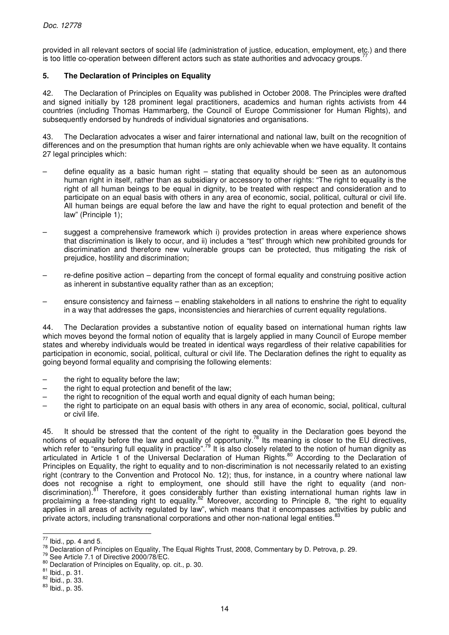provided in all relevant sectors of social life (administration of justice, education, employment, etc.) and there is too little co-operation between different actors such as state authorities and advocacy groups.<sup>7</sup>

## **5. The Declaration of Principles on Equality**

42. The Declaration of Principles on Equality was published in October 2008. The Principles were drafted and signed initially by 128 prominent legal practitioners, academics and human rights activists from 44 countries (including Thomas Hammarberg, the Council of Europe Commissioner for Human Rights), and subsequently endorsed by hundreds of individual signatories and organisations.

43. The Declaration advocates a wiser and fairer international and national law, built on the recognition of differences and on the presumption that human rights are only achievable when we have equality. It contains 27 legal principles which:

- define equality as a basic human right  $-$  stating that equality should be seen as an autonomous human right in itself, rather than as subsidiary or accessory to other rights: "The right to equality is the right of all human beings to be equal in dignity, to be treated with respect and consideration and to participate on an equal basis with others in any area of economic, social, political, cultural or civil life. All human beings are equal before the law and have the right to equal protection and benefit of the law" (Principle 1):
- suggest a comprehensive framework which i) provides protection in areas where experience shows that discrimination is likely to occur, and ii) includes a "test" through which new prohibited grounds for discrimination and therefore new vulnerable groups can be protected, thus mitigating the risk of prejudice, hostility and discrimination;
- re-define positive action departing from the concept of formal equality and construing positive action as inherent in substantive equality rather than as an exception;
- ensure consistency and fairness enabling stakeholders in all nations to enshrine the right to equality in a way that addresses the gaps, inconsistencies and hierarchies of current equality regulations.

44. The Declaration provides a substantive notion of equality based on international human rights law which moves beyond the formal notion of equality that is largely applied in many Council of Europe member states and whereby individuals would be treated in identical ways regardless of their relative capabilities for participation in economic, social, political, cultural or civil life. The Declaration defines the right to equality as going beyond formal equality and comprising the following elements:

- the right to equality before the law;
- the right to equal protection and benefit of the law;
- the right to recognition of the equal worth and equal dignity of each human being;
- the right to participate on an equal basis with others in any area of economic, social, political, cultural or civil life.

45. It should be stressed that the content of the right to equality in the Declaration goes beyond the notions of equality before the law and equality of opportunity.<sup>78</sup> Its meaning is closer to the EU directives, which refer to "ensuring full equality in practice".<sup>79</sup> It is also closely related to the notion of human dignity as articulated in Article 1 of the Universal Declaration of Human Rights.<sup>80</sup> According to the Declaration of Principles on Equality, the right to equality and to non-discrimination is not necessarily related to an existing right (contrary to the Convention and Protocol No. 12); thus, for instance, in a country where national law does not recognise a right to employment, one should still have the right to equality (and nondiscrimination).<sup>81</sup> Therefore, it goes considerably further than existing international human rights law in proclaiming a free-standing right to equality.<sup>82</sup> Moreover, according to Principle 8, "the right to equality applies in all areas of activity regulated by law", which means that it encompasses activities by public and private actors, including transnational corporations and other non-national legal entities.<sup>83</sup>

 $\frac{77}{12}$  Ibid., pp. 4 and 5.

<sup>78</sup> Declaration of Principles on Equality, The Equal Rights Trust, 2008, Commentary by D. Petrova, p. 29.

<sup>79</sup> See Article 7.1 of Directive 2000/78/EC.

<sup>80</sup> Declaration of Principles on Equality, op. cit., p. 30.

<sup>81</sup> Ibid., p. 31.

 $82$  lbid., p. 33.

<sup>83</sup> Ibid., p. 35.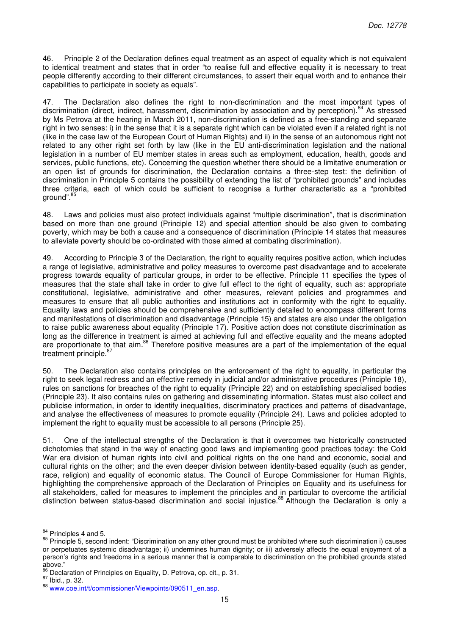46. Principle 2 of the Declaration defines equal treatment as an aspect of equality which is not equivalent to identical treatment and states that in order "to realise full and effective equality it is necessary to treat people differently according to their different circumstances, to assert their equal worth and to enhance their capabilities to participate in society as equals".

47. The Declaration also defines the right to non-discrimination and the most important types of discrimination (direct, indirect, harassment, discrimination by association and by perception).<sup>84</sup> As stressed by Ms Petrova at the hearing in March 2011, non-discrimination is defined as a free-standing and separate right in two senses: i) in the sense that it is a separate right which can be violated even if a related right is not (like in the case law of the European Court of Human Rights) and ii) in the sense of an autonomous right not related to any other right set forth by law (like in the EU anti-discrimination legislation and the national legislation in a number of EU member states in areas such as employment, education, health, goods and services, public functions, etc). Concerning the question whether there should be a limitative enumeration or an open list of grounds for discrimination, the Declaration contains a three-step test: the definition of discrimination in Principle 5 contains the possibility of extending the list of "prohibited grounds" and includes three criteria, each of which could be sufficient to recognise a further characteristic as a "prohibited ground".<sup>85</sup>

48. Laws and policies must also protect individuals against "multiple discrimination", that is discrimination based on more than one ground (Principle 12) and special attention should be also given to combating poverty, which may be both a cause and a consequence of discrimination (Principle 14 states that measures to alleviate poverty should be co-ordinated with those aimed at combating discrimination).

49. According to Principle 3 of the Declaration, the right to equality requires positive action, which includes a range of legislative, administrative and policy measures to overcome past disadvantage and to accelerate progress towards equality of particular groups, in order to be effective. Principle 11 specifies the types of measures that the state shall take in order to give full effect to the right of equality, such as: appropriate constitutional, legislative, administrative and other measures, relevant policies and programmes and measures to ensure that all public authorities and institutions act in conformity with the right to equality. Equality laws and policies should be comprehensive and sufficiently detailed to encompass different forms and manifestations of discrimination and disadvantage (Principle 15) and states are also under the obligation to raise public awareness about equality (Principle 17). Positive action does not constitute discrimination as long as the difference in treatment is aimed at achieving full and effective equality and the means adopted are proportionate to that aim.<sup>86</sup> Therefore positive measures are a part of the implementation of the equal treatment principle.<sup>8</sup>

50. The Declaration also contains principles on the enforcement of the right to equality, in particular the right to seek legal redress and an effective remedy in judicial and/or administrative procedures (Principle 18), rules on sanctions for breaches of the right to equality (Principle 22) and on establishing specialised bodies (Principle 23). It also contains rules on gathering and disseminating information. States must also collect and publicise information, in order to identify inequalities, discriminatory practices and patterns of disadvantage, and analyse the effectiveness of measures to promote equality (Principle 24). Laws and policies adopted to implement the right to equality must be accessible to all persons (Principle 25).

51. One of the intellectual strengths of the Declaration is that it overcomes two historically constructed dichotomies that stand in the way of enacting good laws and implementing good practices today: the Cold War era division of human rights into civil and political rights on the one hand and economic, social and cultural rights on the other; and the even deeper division between identity-based equality (such as gender, race, religion) and equality of economic status. The Council of Europe Commissioner for Human Rights, highlighting the comprehensive approach of the Declaration of Principles on Equality and its usefulness for all stakeholders, called for measures to implement the principles and in particular to overcome the artificial distinction between status-based discrimination and social injustice.<sup>88</sup> Although the Declaration is only a

 $\overline{\phantom{a}}$ 

 $84$  Principles 4 and 5.

<sup>85</sup> Principle 5, second indent: "Discrimination on any other ground must be prohibited where such discrimination i) causes or perpetuates systemic disadvantage; ii) undermines human dignity; or iii) adversely affects the equal enjoyment of a person's rights and freedoms in a serious manner that is comparable to discrimination on the prohibited grounds stated above."

<sup>86</sup> Declaration of Principles on Equality, D. Petrova, op. cit., p. 31.

 $87$  Ibid., p. 32.

<sup>88</sup> www.coe.int/t/commissioner/Viewpoints/090511\_en.asp.